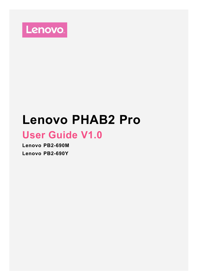

# **Lenovo PHAB2 Pro**

## **User Guide V1.0**

**Lenovo PB2-690M Lenovo PB2-690Y**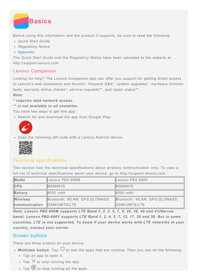

Before using this information and the product it supports, be sure to read the following:

- *Quick Start Guide*
- *Regulatory Notice*

#### [Appendix](#page-18-0)

The *Quick Start Guide* and the *Regulatory Notice* have been uploaded to the website at http://support.lenovo.com.

## Lenovo Companion

Looking for help? The Lenovo Companion app can offer you support for getting direct access to Lenovo's web assistance and forums\*, frequent Q&A\*, system upgrades\*, hardware function tests, warranty status checks\*, service requests\*\*, and repair status\*\*.

#### *Note:*

*\* requires data network access.*

*\*\* is not available in all countries.*

You have two ways to get this app:

Search for and download the app from Google Play.



Scan the following QR code with a Lenovo Android device.



## Technical specifications

This section lists the technical specifications about wireless communication only. To view a full list of technical specifications about your device, go to http://support.lenovo.com.

| Model                                             | Lenovo PB2-690M     | Lenovo PB2-690Y                |  |
|---------------------------------------------------|---------------------|--------------------------------|--|
| ICPU                                              | <b>MSM8976</b>      | <b>MSM8976</b>                 |  |
| Battery                                           | 4050 mAh            | 4050 mAh                       |  |
| <b>Wireless</b><br>Bluetooth; WLAN; GPS; GLONASS; |                     | Bluetooth; WLAN; GPS; GLONASS; |  |
| communication                                     | <b>GSM/UMTS/LTE</b> | <b>IGSM/UMTS/LTE</b>           |  |

*Note: Lenovo PB2-690M supports LTE Band 1, 2, 3, 5, 7, 8, 20, 38, 40 and 41(Narrow band). Lenovo PB2-690Y supports LTE Band 1, 2, 4, 5, 7, 12, 17, 20 and 30. But in some countries, LTE is not supported. To know if your device works with LTE networks in your country, contact your carrier.*

## Screen buttons

There are three buttons on your device.

- Multitask button: Tap  $\Box$  to see the apps that are running. Then you can do the following:
	- Tap an app to open it.
	- Tap  $\times$  to stop running the app.
	- Tap  $\circled{v}$  to stop running all the apps.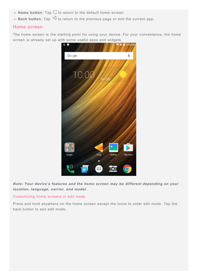- Home button: Tap  $\bigcirc$  to return to the default home screen.
- **Back button**: Tap  $\triangleleft$  to return to the previous page or exit the current app.

#### Home screen

The home screen is the starting point for using your device. For your convenience, the home screen is already set up with some useful apps and widgets.



*Note: Your device's features and the home screen may be different depending on your location, language, carrier, and model.*

#### Customizing home screens in edit mode

Press and hold anywhere on the home screen except the icons to enter edit mode. Tap the back button to exit edit mode.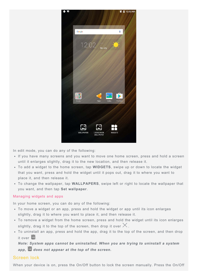

In edit mode, you can do any of the following:

- If you have many screens and you want to move one home screen, press and hold a screen until it enlarges slightly, drag it to the new location, and then release it.
- To add a widget to the home screen, tap **WIDGETS**, swipe up or down to locate the widget that you want, press and hold the widget until it pops out, drag it to where you want to place it, and then release it.
- To change the wallpaper, tap **WALLPAPERS**, swipe left or right to locate the wallpaper that you want, and then tap **Set wallpaper**.

#### Managing widgets and apps

In your home screen, you can do any of the following:

- To move a widget or an app, press and hold the widget or app until its icon enlarges slightly, drag it to where you want to place it, and then release it.
- To remove a widget from the home screen, press and hold the widget until its icon enlarges slightly, drag it to the top of the screen, then drop it over  $\times$  .
- To uninstall an app, press and hold the app, drag it to the top of the screen, and then drop it over  $\overline{m}$ .

*Note: System apps cannot be uninstalled. When you are trying to uninstall a system app, does not appear at the top of the screen.*

## Screen lock

When your device is on, press the On/Off button to lock the screen manually. Press the On/Off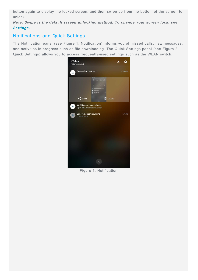button again to display the locked screen, and then swipe up from the bottom of the screen to unlock.

*Note: Swipe is the default screen unlocking method. To change your screen lock, see [Settings](#page-17-0).*

## Notifications and Quick Settings

The Notification panel (see Figure 1: Notification) informs you of missed calls, new messages, and activities in progress such as file downloading. The Quick Settings panel (see Figure 2: Quick Settings) allows you to access frequently-used settings such as the WLAN switch.



Figure 1: Notification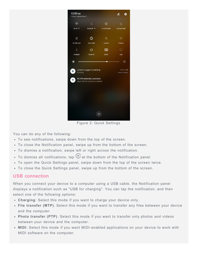

Figure 2: Quick Settings

You can do any of the following:

- To see notifications, swipe down from the top of the screen.
- To close the Notification panel, swipe up from the bottom of the screen.
- To dismiss a notification, swipe left or right across the notification.
- To dismiss all notifications, tap  $\Diamond$  at the bottom of the Notification panel.
- To open the Quick Settings panel, swipe down from the top of the screen twice.
- To close the Quick Settings panel, swipe up from the bottom of the screen.

#### USB connection

When you connect your device to a computer using a USB cable, the Notification panel displays a notification such as "USB for charging". You can tap the notification, and then select one of the following options:

- **Charging**: Select this mode if you want to charge your device only.
- **File transfer (MTP)**: Select this mode if you want to transfer any files between your device and the computer.
- **Photo transfer (PTP)**: Select this mode if you want to transfer only photos and videos between your device and the computer.
- **MIDI**: Select this mode if you want MIDI-enabled applications on your device to work with MIDI software on the computer.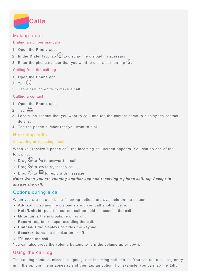

## Making a call

#### Dialing a number manually

- 1. Open the **Phone** app.
- 2. In the **Dialer** tab, tap **b** to display the dialpad if necessary.
- 3. Enter the phone number that you want to dial, and then tap  $\mathbb{O}$ .

## Calling from the call log

- 1. Open the **Phone** app.
- 2. Tap  $\bigcup$
- 3. Tap a call log entry to make a call.

## Calling a contact

- 1. Open the **Phone** app.
- 2. Tap  $\stackrel{\bullet}{\bullet}$ .
- 3. Locate the contact that you want to call, and tap the contact name to display the contact details.
- 4. Tap the phone number that you want to dial.

## Receiving calls

### Answering or rejecting a call

When you receive a phone call, the incoming call screen appears. You can do one of the following:

- Drag  $\bigcirc$  to  $\bigcirc$  to answer the call.
- Drag  $\mathbb{O}$  to  $\bullet$  to reject the call.
- Drag  $\bigcirc$  to  $\blacksquare$  to reply with message.

## *Note: When you are running another app and receiving a phone call, tap Accept to answer the call.*

## Options during a call

When you are on a call, the following options are available on the screen:

- **Add call**: displays the dialpad so you can call another person.
- **Hold/Unhold**: puts the current call on hold or resumes the call.
- **Mute**: turns the microphone on or off.
- **Record**: starts or stops recording the call.
- **Dialpad/Hide**: displays or hides the keypad.
- **Speaker**: turns the speaker on or off.
- $\odot$  ends the call.

You can also press the volume buttons to turn the volume up or down.

## Using the call log

The call log contains missed, outgoing, and incoming call entries. You can tap a call log entry until the options menu appears, and then tap an option. For example, you can tap the **Edit**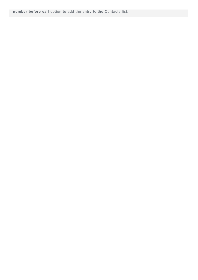**number before call** option to add the entry to the Contacts list.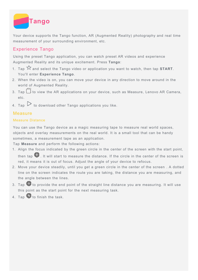

Your device supports the Tango function, AR (Augmented Reality) photography and real time measurement of your surrounding environment, etc.

## Experience Tango

Using the preset Tango application, you can watch preset AR videos and experience Augmented Reality and its unique excitement. Press **Tango**:

- 1. Tap  $\widehat{X}$  and select the Tango video or application you want to watch, then tap **START**. You'll enter **Experience Tango**.
- 2. When the video is on, you can move your device in any direction to move around in the world of Augmented Reality.
- 3. Tap  $\Box$  to view the AR applications on your device, such as Measure, Lenovo AR Camera, etc.
- 4. Tap  $\triangleright$  to download other Tango applications you like.

## **Measure**

#### Measure Distance

You can use the Tango device as a magic measuring tape to measure real world spaces, objects and overlay measurements on the real world. It is a small tool that can be handy sometimes, a measurement tape as an application.

Tap **Measure** and perform the following actions:

- 1. Align the focus indicated by the green circle in the center of the screen with the start point, then tap  $\Box$ . It will start to measure the distance. If the circle in the center of the screen is red, it means it is out of focus. Adjust the angle of your device to refocus.
- 2. Move your device steadily, until you get a green circle in the center of the screen . A dotted line on the screen indicates the route you are taking, the distance you are measuring, and the angle between the lines.
- 3. Tap  $\bigoplus$  to provide the end point of the straight line distance you are measuring. It will use this point as the start point for the next measuring task.
- 4. Tap  $\bigoplus$  to finish the task.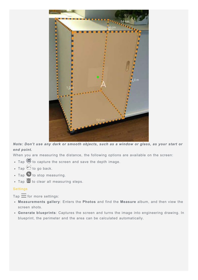

*Note: Don't use any dark or smooth objects, such as a window or glass, as your start or end point.*

When you are measuring the distance, the following options are available on the screen:

- $\bullet$  Tap  $\bigcirc$  to capture the screen and save the depth image.
- $\cdot$  Tap  $\odot$  to go back.
- $\bullet$  Tap  $\bullet$  to stop measuring.
- $\cdot$  Tap  $\overline{\mathbf{m}}$  to clear all measuring steps.

#### **Settings**

 $Tap \equiv for more settings:$ 

- **Measurements gallery**: Enters the **Photos** and find the **Measure** album, and then view the screen shots.
- **Generate blueprints**: Captures the screen and turns the image into engineering drawing. In blueprint, the perimeter and the area can be calculated automatically.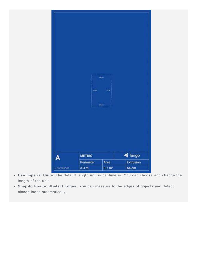

- **Use Imperial Units**: The default length unit is centimeter. You can choose and change the length of the unit.
- **Snap-to Position/Detect Edges** : You can measure to the edges of objects and detect closed loops automatically.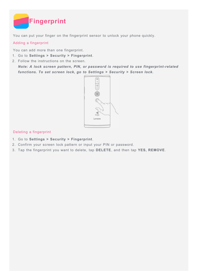

You can put your finger on the fingerprint sensor to unlock your phone quickly.

## Adding a fingerprint

You can add more than one fingerprint.

- 1. Go to **Settings > Security > Fingerprint**.
- 2. Follow the instructions on the screen.

*Note: A lock screen pattern, PIN, or password is required to use fingerprint-related functions. To set screen lock, go to Settings > Security > Screen lock.*



#### Deleting a fingerprint

- 1. Go to **Settings > Security > Fingerprint**.
- 2. Confirm your screen lock pattern or input your PIN or password.
- 3. Tap the fingerprint you want to delete, tap **DELETE**, and then tap **YES, REMOVE**.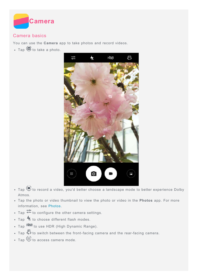

## Camera basics

You can use the **Camera** app to take photos and record videos.

 $\cdot$  Tap  $\bigcirc$  to take a photo.



- $\bullet$  Tap  $\bigodot$  to record a video, you'd better choose a landscape mode to better experience Dolby Atmos.
- Tap the photo or video thumbnail to view the photo or video in the **Photos** app. For more information, see [Photos.](#page-14-0)
- $\cdot$  Tap  $\overline{1}$  to configure the other camera settings.
- $\bullet$  Tap  $\overline{\mathcal{H}}$  to choose different flash modes.
- Tap  $H\ddot{\otimes}R$  to use HDR (High Dynamic Range).
- Tap  $\mathbb G$  to switch between the front-facing camera and the rear-facing camera.
- $\cdot$  Tap  $\overline{\mathfrak{m}}$  to access camera mode.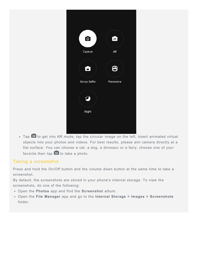| $\bullet$           | AR       |
|---------------------|----------|
|                     |          |
| Capture             | AR       |
| G                   | 8        |
| <b>Group Selfie</b> | Panorama |
| Ÿ<br>Night          |          |
|                     |          |
|                     |          |
|                     |          |

• Tap AR to get into AR mode, tap the circular image on the left, insert animated virtual objects into your photos and videos. For best results, please aim camera directly at a flat surface. You can choose a cat, a dog, a dinosaur or a fairy; choose one of your favorite then tap  $AR$  to take a photo.

## Taking a screenshot

Press and hold the On/Off button and the volume down button at the same time to take a screenshot.

By default, the screenshots are stored in your phone's internal storage. To view the screenshots, do one of the following:

- Open the **Photos** app and find the **Screenshot** album.
- Open the **File Manager** app and go to the **Internal Storage > Images > Screenshots** folder.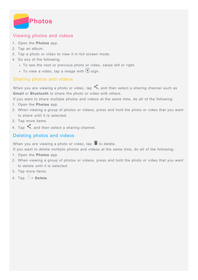<span id="page-14-0"></span>

## Viewing photos and videos

- 1. Open the **Photos** app.
- 2. Tap an album.
- 3. Tap a photo or video to view it in full screen mode.
- 4. Do any of the following:
	- To see the next or previous photo or video, swipe left or right.
	- To view a video, tap a image with  $\bigcirc$  sign.

## Sharing photos and videos

When you are viewing a photo or video, tap  $\leq$ , and then select a sharing channel such as **Gmail** or **Bluetooth** to share the photo or video with others.

If you want to share multiple photos and videos at the same time, do all of the following:

- 1. Open the **Photos** app.
- 2. When viewing a group of photos or videos, press and hold the photo or video that you want to share until it is selected.
- 3. Tap more items.
- 4. Tap  $\leq$ , and then select a sharing channel.

## Deleting photos and videos

When you are viewing a photo or video, tap  $\blacksquare$  to delete.

If you want to delete multiple photos and videos at the same time, do all of the following:

- 1. Open the **Photos** app.
- 2. When viewing a group of photos or videos, press and hold the photo or video that you want to delete until it is selected.
- 3. Tap more items.
- $4.$  Tap  $\div$  > Delete.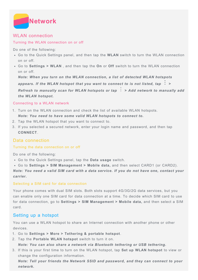<span id="page-15-0"></span>

## WLAN connection

#### Turning the WLAN connection on or off

Do one of the following:

- Go to the Quick Settings panel, and then tap the **WLAN** switch to turn the WLAN connection on or off.
- Go to **Settings > WLAN** , and then tap the **On** or **Off** switch to turn the WLAN connection on or off.

*Note: When you turn on the WLAN connection, a list of detected WLAN hotspots appears. If the WLAN hotspot that you want to connect to is not listed, tap > Refresh to manually scan for WLAN hotspots or tap : > Add network to manually add the WLAN hotspot.*

#### Connecting to a WLAN network

- 1. Turn on the WLAN connection and check the list of available WLAN hotspots. *Note: You need to have some valid WLAN hotspots to connect to.*
- 2. Tap the WLAN hotspot that you want to connect to.
- 3. If you selected a secured network, enter your login name and password, and then tap **CONNECT**.

## Data connection

#### Turning the data connection on or off

Do one of the following:

- Go to the Quick Settings panel, tap the **Data usage** switch.
- Go to **Settings > SIM Management > Mobile data,** and then select CARD1 (or CARD2).

*Note: You need a valid SIM card with a data service. If you do not have one, contact your carrier.*

#### Selecting a SIM card for data connection

Your phone comes with dual SIM slots. Both slots support 4G/3G/2G data services, but you can enable only one SIM card for data connection at a time. To decide which SIM card to use for data connection, go to **Settings > SIM Management > Mobile data,** and then select a SIM card.

## Setting up a hotspot

You can use a WLAN hotspot to share an Internet connection with another phone or other devices.

- 1. Go to **Settings > More > Tethering & portable hotspot**.
- 2. Tap the **Portable WLAN hotspot** switch to turn it on.
	- *Note: You can also share a network via Bluetooth tethering or USB tethering.*
- 3. If this is your first time to turn on the WLAN hotspot, tap **Set up WLAN hotspot** to view or change the configuration information.

*Note: Tell your friends the Network SSID and password, and they can connect to your network.*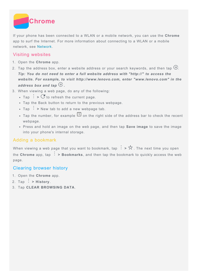

If your phone has been connected to a WLAN or a mobile network, you can use the **Chrome** app to surf the Internet. For more information about connecting to a WLAN or a mobile network, see [Network](#page-15-0).

## Visiting websites

- 1. Open the **Chrome** app.
- 2. Tap the address box, enter a website address or your search keywords, and then tap  $\Theta$ . *Tip: You do not need to enter a full website address with "http://" to access the website. For example, to visit http://www.lenovo.com, enter "www.lenovo.com" in the address box and tap*  $\Theta$ .
- 3. When viewing a web page, do any of the following:
	- $\cdot$  Tap  $\colon S \times C$  to refresh the current page.
	- Tap the Back button to return to the previous webpage.
	- Tap  $\colon$  > New tab to add a new webpage tab.
	- Tap the number, for example  $\Box$  on the right side of the address bar to check the recent webpage.
	- Press and hold an image on the web page, and then tap **Save image** to save the image into your phone's internal storage.

## Adding a bookmark

When viewing a web page that you want to bookmark, tap  $\div$  >  $\hat{\times}$ . The next time you open the **Chrome** app, tap **> Bookmarks**, and then tap the bookmark to quickly access the web page.

## Clearing browser history

- 1. Open the **Chrome** app.
- 2. Tap  $\colon$  > History.
- 3. Tap **CLEAR BROWSING DATA**.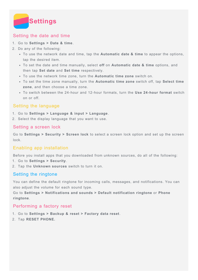<span id="page-17-0"></span>

## Setting the date and time

#### 1. Go to **Settings > Date & time**.

- 2. Do any of the following:
	- To use the network date and time, tap the **Automatic date & time** to appear the options, tap the desired item.
	- To set the date and time manually, select **off** on **Automatic date & time** options, and then tap **Set date** and **Set time** respectively.
	- To use the network time zone, turn the **Automatic time zone** switch on.
	- To set the time zone manually, turn the **Automatic time zone** switch off, tap **Select time zone**, and then choose a time zone.
	- To switch between the 24-hour and 12-hour formats, turn the **Use 24-hour format** switch on or off.

## Setting the language

- 1. Go to **Settings > Language & input > Language**.
- 2. Select the display language that you want to use.

#### Setting a screen lock

Go to **Settings > Security > Screen lock** to select a screen lock option and set up the screen lock.

## Enabling app installation

Before you install apps that you downloaded from unknown sources, do all of the following:

- 1. Go to **Settings > Security**.
- 2. Tap the **Unknown sources** switch to turn it on.

## Setting the ringtone

You can define the default ringtone for incoming calls, messages, and notifications. You can also adjust the volume for each sound type.

Go to **Settings > Notifications and sounds > Default notification ringtone** or **Phone ringtone**.

#### Performing a factory reset

- 1. Go to **Settings > Backup & reset > Factory data reset**.
- 2. Tap **RESET PHONE.**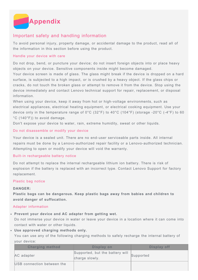<span id="page-18-0"></span>

## Important safety and handling information

To avoid personal injury, property damage, or accidental damage to the product, read all of the information in this section before using the product.

#### Handle your device with care

Do not drop, bend, or puncture your device; do not insert foreign objects into or place heavy objects on your device. Sensitive components inside might become damaged.

Your device screen is made of glass. The glass might break if the device is dropped on a hard surface, is subjected to a high impact, or is crushed by a heavy object. If the glass chips or cracks, do not touch the broken glass or attempt to remove it from the device. Stop using the device immediately and contact Lenovo technical support for repair, replacement, or disposal information.

When using your device, keep it away from hot or high-voltage environments, such as electrical appliances, electrical heating equipment, or electrical cooking equipment. Use your device only in the temperature range of 0°C (32°F) to 40°C (104°F) (storage -20°C (-4°F) to 60 °C (140°F)) to avoid damage.

Don't expose your device to water, rain, extreme humidity, sweat or other liquids.

#### Do not disassemble or modify your device

Your device is a sealed unit. There are no end-user serviceable parts inside. All internal repairs must be done by a Lenovo-authorized repair facility or a Lenovo-authorized technician. Attempting to open or modify your device will void the warranty.

#### Built-in rechargeable battery notice

Do not attempt to replace the internal rechargeable lithium ion battery. There is risk of explosion if the battery is replaced with an incorrect type. Contact Lenovo Support for factory replacement.

#### Plastic bag notice

#### **DANGER:**

**Plastic bags can be dangerous. Keep plastic bags away from babies and children to avoid danger of suffocation.**

#### Adapter information

#### **Prevent your device and AC adapter from getting wet.**

Do not immerse your device in water or leave your device in a location where it can come into contact with water or other liquids.

#### **Use approved charging methods only.**

You can use any of the following charging methods to safely recharge the internal battery of your device:

| <b>Charging method</b>     | Display on                                        | Display off |
|----------------------------|---------------------------------------------------|-------------|
| AC adapter                 | Supported, but the battery will<br>charge slowly. | Supported   |
| USB connection between the |                                                   |             |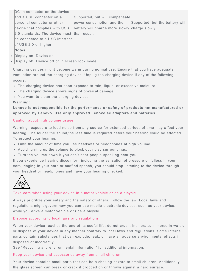| Notes:                                     |                                                |                                 |
|--------------------------------------------|------------------------------------------------|---------------------------------|
| of USB 2.0 or higher.                      |                                                |                                 |
| be connected to a USB interface            |                                                |                                 |
| 2.0 standards. The device must than usual. |                                                |                                 |
| device that complies with USB              | battery will charge more slowly charge slowly. |                                 |
| personal computer or other                 | power consumption and the                      | Supported, but the battery will |
| and a USB connector on a                   | Supported, but will compensate                 |                                 |
| DC-in connector on the device              |                                                |                                 |

Display on: Device on

Display off: Device off or in screen lock mode

Charging devices might become warm during normal use. Ensure that you have adequate ventilation around the charging device. Unplug the charging device if any of the following occurs:

- The charging device has been exposed to rain, liquid, or excessive moisture.
- The charging device shows signs of physical damage.
- You want to clean the charging device.

#### **Warning:**

**Lenovo is not responsible for the performance or safety of products not manufactured or approved by Lenovo. Use only approved Lenovo ac adapters and batteries.**

#### Caution about high volume usage

Warning exposure to loud noise from any source for extended periods of time may affect your hearing. The louder the sound,the less time is required before your hearing could be affected. To protect your hearing:

- Limit the amount of time you use headsets or headphones at high volume.
- Avoid turning up the volume to block out noisy surroundings.
- Turn the volume down if you can't hear people speaking near you.

If you experience hearing discomfort, including the sensation of pressure or fulless in your ears, ringing in your ears or muffled speech, you should stop listening to the device through your headset or headphones and have your hearing checked.



#### Take care when using your device in a motor vehicle or on a bicycle

Always prioritize your safety and the safety of others. Follow the law. Local laws and regulations might govern how you can use mobile electronic devices, such as your device, while you drive a motor vehicle or ride a bicycle.

#### Dispose according to local laws and regulations

When your device reaches the end of its useful life, do not crush, incinerate, immerse in water, or dispose of your device in any manner contrary to local laws and regulations. Some internal parts contain substances that can explode, leak, or have an adverse environmental effects if disposed of incorrectly.

See "Recycling and environmental information" for additional information.

#### Keep your device and accessories away from small children

Your device contains small parts that can be a choking hazard to small children. Additionally, the glass screen can break or crack if dropped on or thrown against a hard surface.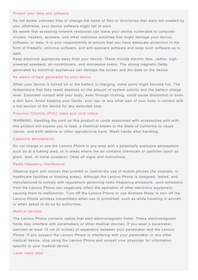#### Protect your data and software

Do not delete unknown files or change the name of files or directories that were not created by you; otherwise, your device software might fail to work.

Be aware that accessing network resources can leave your device vulnerable to computer viruses, hackers, spyware, and other malicious activities that might damage your device, software, or data. It is your responsibility to ensure that you have adequate protection in the form of firewalls, antivirus software, and anti-spyware software and keep such software up to date.

Keep electrical appliances away from your device. These include electric fans, radios, highpowered speakers, air-conditioners, and microwave ovens. The strong magnetic fields generated by electrical appliances can damage the screen and the data on the device.

#### Be aware of heat generated by your device

When your device is turned on or the battery is charging, some parts might become hot. The temperature that they reach depends on the amount of system activity and the battery charge level. Extended contact with your body, even through clothing, could cause discomfort or even a skin burn. Avoid keeping your hands, your lap, or any other part of your body in contact with a hot section of the device for any extended time.

#### Polyvinyl Chloride (PVC) cable and cord notice

WARNING: Handling the cord on this product or cords associated with accessories sold with this product will expose you to lead, a chemical known to the State of California to cause cancer, and birth defects or other reproductive harm. Wash hands after handling.

#### Explosive atmospheres

Do not charge or use the Lenovo Phone in any area with a potentially explosive atmosphere, such as at a fueling area, or in areas where the air contains chemicals or particles (such as grain, dust, or metal powders). Obey all signs and instructions.

#### Radio frequency interference

Observe signs and notices that prohibit or restrict the use of mobile phones (for example, in healthcare facilities or blasting areas). Although the Lenovo Phone is designed, tested, and manufactured to comply with regulations governing radio frequency emissions, such emissions from the Lenovo Phone can negatively affect the operation of other electronic equipment, causing them to malfunction. Turn off the Lenovo Phone or use Airplane Mode to turn off the Lenovo Phone wireless transmitters when use is prohibited, such as while traveling in aircraft, or when asked to do so by authorities.

#### Medical devices

The Lenovo Phone contains radios that emit electromagnetic fields. These electromagnetic fields may interfere with pacemakers or other medical devices. If you wear a pacemaker, maintain at least 15 cm (6 inches) of separation between your pacemaker and the Lenovo Phone. If you suspect the Lenovo Phone is interfering with your pacemaker or any other medical device, stop using the Lenovo Phone and consult your physician for information specific to your medical device.

#### Laser class label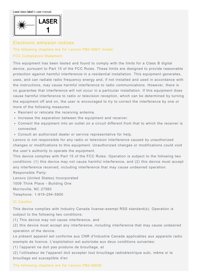Laser class label in user manual:



## Electronic emission notices

#### The following chapters are for Lenovo PB2-690Y model:

#### FCC Compliance Statement

This equipment has been tested and found to comply with the limits for a Class B digital device, pursuant to Part 15 of the FCC Rules. These limits are designed to provide reasonable protection against harmful interference in a residential installation. This equipment generates, uses, and can radiate radio frequency energy and, if not installed and used in accordance with the instructions, may cause harmful interference to radio communications. However, there is no guarantee that interference will not occur in a particular installation. If this equipment does cause harmful interference to radio or television reception, which can be determined by turning the equipment off and on, the user is encouraged to try to correct the interference by one or more of the following measures:

- Reorient or relocate the receiving antenna.
- Increase the separation between the equipment and receiver.
- Connect the equipment into an outlet on a circuit different from that to which the receiver is connected.
- Consult an authorized dealer or service representative for help.

Lenovo is not responsible for any radio or television interference caused by unauthorized changes or modifications to this equipment. Unauthorized changes or modifications could void the user's authority to operate the equipment.

This device complies with Part 15 of the FCC Rules. Operation is subject to the following two conditions: (1) this device may not cause harmful interference, and (2) this device must accept any interference received, including interference that may cause undesired operation. Responsible Party:

Lenovo (United States) Incorporated 1009 Think Place - Building One Morrisville, NC 27560 Telephone: 1-919-294-5900

#### IC Caution

This device complies with Industry Canada license-exempt RSS standard(s). Operation is subject to the following two conditions:

(1) This device may not cause interference, and

(2) this device must accept any interference, including interference that may cause undesired operation of the device.

Le présent appareil est conforme aux CNR d'Industrie Canada applicables aux appareils radio exempts de licence. L'exploitation est autorisée aux deux conditions suivantes:

(1) l'appareil ne doit pas produire de brouillage, et

(2) l'utilisateur de l'appareil doit accepter tout brouillage radioélectrique subi, même si le brouillage est susceptible d'en

The following chapters are for Lenovo PB2-690M: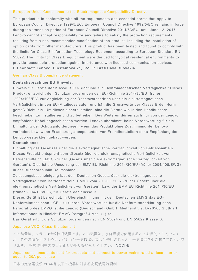#### European Union-Compliance to the Electromagnetic Compatibility Directive

This product is in conformity with all the requirements and essential norms that apply to European Council Directive 1999/5/EC. European Council Directive 1999/5/EC remains in force during the transition period of European Council Directive 2014/53/EU, until June 12, 2017. Lenovo cannot accept responsibility for any failure to satisfy the protection requirements resulting from a non-recommended modification of the product, including the installation of option cards from other manufacturers. This product has been tested and found to comply with the limits for Class B Information Technology Equipment according to European Standard EN 55022. The limits for Class B equipment were derived for typical residential environments to provide reasonable protection against interference with licensed communication devices. **EU contact: Lenovo, Einsteinova 21, 851 01 Bratislava, Slovakia**

#### German Class B compliance statement

#### **Deutschsprachiger EU Hinweis:**

Hinweis für Geräte der Klasse B EU-Richtlinie zur Elektromagnetischen Verträglichkeit Dieses Produkt entspricht den Schutzanforderungen der EU-Richtlinie 2014/30/EU (früher 2004/108/EC) zur Angleichung der Rechtsvorschriften über die elektromagnetische Verträglichkeit in den EU-Mitgliedsstaaten und hält die Grenzwerte der Klasse B der Norm gemäß Richtlinie. Um dieses sicherzustellen, sind die Geräte wie in den Handbüchern beschrieben zu installieren und zu betreiben. Des Weiteren dürfen auch nur von der Lenovo empfohlene Kabel angeschlossen werden. Lenovo übernimmt keine Verantwortung für die Einhaltung der Schutzanforderungen, wenn das Produkt ohne Zustimmung der Lenovo verändert bzw. wenn Erweiterungskomponenten von Fremdherstellern ohne Empfehlung der Lenovo gesteckt/eingebaut werden.

#### **Deutschland:**

Einhaltung des Gesetzes über die elektromagnetische Verträglichkeit von Betriebsmitteln Dieses Produkt entspricht dem "Gesetz über die elektromagnetische Verträglichkeit von Betriebsmitteln" EMVG (früher "Gesetz über die elektromagnetische Verträglichkeit von Geräten"). Dies ist die Umsetzung der EMV EU-Richtlinie 2014/30/EU (früher 2004/108/EWG) in der Bundesrepublik Deutschland.

Zulassungsbescheinigung laut dem Deutschen Gesetz über die elektromagnetische Verträglichkeit von Betriebsmitteln, EMVG vom 20. Juli 2007 (früher Gesetz über die elektromagnetische Verträglichkeit von Geräten), bzw. der EMV EU Richtlinie 2014/30/EU (früher 2004/108/EC), für Geräte der Klasse B.

Dieses Gerät ist berechtigt, in Übereinstimmung mit dem Deutschen EMVG das EG-Konformitätszeichen - CE - zu führen. Verantwortlich für die Konformitätserklärung nach Paragraf 5 des EMVG ist die Lenovo (Deutschland) GmbH, Meitnerstr. 9, D-70563 Stuttgart. Informationen in Hinsicht EMVG Paragraf 4 Abs. (1) 4:

Das Gerät erfüllt die Schutzanforderungen nach EN 55024 und EN 55022 Klasse B.

#### Japanese VCCI Class B statement

この装置は、クラスB情報技術装置です。この装置は、家庭環境で使用することを目的としています が、この装置がラジオやテレビジョン受信機に近接して使用されると、受信障害を引き起こすことがあ ります。 取扱説明書に従って正しい取り扱いをして下さい。 VCCI-B

Japan compliance statement for products that connect to power mains rated at less than or equal to 20A per phase

日本の定格電流が 20A/相 以下の機器に対する高調波電流規制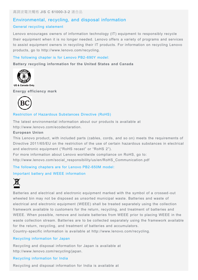## Environmental, recycling, and disposal information

#### General recycling statement

Lenovo encourages owners of information technology (IT) equipment to responsibly recycle their equipment when it is no longer needed. Lenovo offers a variety of programs and services to assist equipment owners in recycling their IT products. For information on recycling Lenovo products, go to http://www.lenovo.com/recycling.

#### The following chapter is for Lenovo PB2-690Y model:

**Battery recycling information for the United States and Canada**



US & Canada Only

**Energy efficiency mark**



#### Restriction of Hazardous Substances Directive (RoHS)

The latest environmental information about our products is available at http://www.lenovo.com/ecodeclaration.

#### **European Union**

This Lenovo product, with included parts (cables, cords, and so on) meets the requirements of Directive 2011/65/EU on the restriction of the use of certain hazardous substances in electrical and electronic equipment ("RoHS recast" or "RoHS 2").

For more information about Lenovo worldwide compliance on RoHS, go to: http://www.lenovo.com/social\_responsibility/us/en/RoHS\_Communication.pdf

The following chapters are for Lenovo PB2-650M model:

#### Important battery and WEEE information



Batteries and electrical and electronic equipment marked with the symbol of a crossed-out wheeled bin may not be disposed as unsorted municipal waste. Batteries and waste of electrical and electronic equipment (WEEE) shall be treated separately using the collection framework available to customers for the return, recycling, and treatment of batteries and WEEE. When possible, remove and isolate batteries from WEEE prior to placing WEEE in the waste collection stream. Batteries are to be collected separately using the framework available for the return, recycling, and treatment of batteries and accumulators.

Country-specific information is available at http://www.lenovo.com/recycling.

#### Recycling information for Japan

Recycling and disposal information for Japan is available at http://www.lenovo.com/recycling/japan.

#### Recycling information for India

Recycling and disposal information for India is available at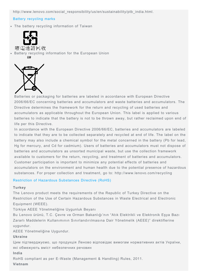http://www.lenovo.com/social\_responsibility/us/en/sustainability/ptb\_india.html.

#### Battery recycling marks

The battery recycling information of Taiwan



廢電池請同收 Battery recycling information for the European Union EU



Batteries or packaging for batteries are labeled in accordance with European Directive 2006/66/EC concerning batteries and accumulators and waste batteries and accumulators. The Directive determines the framework for the return and recycling of used batteries and accumulators as applicable throughout the European Union. This label is applied to various batteries to indicate that the battery is not to be thrown away, but rather reclaimed upon end of life per this Directive.

In accordance with the European Directive 2006/66/EC, batteries and accumulators are labeled to indicate that they are to be collected separately and recycled at end of life. The label on the battery may also include a chemical symbol for the metal concerned in the battery (Pb for lead, Hg for mercury, and Cd for cadmium). Users of batteries and accumulators must not dispose of batteries and accumulators as unsorted municipal waste, but use the collection framework available to customers for the return, recycling, and treatment of batteries and accumulators. Customer participation is important to minimize any potential effects of batteries and accumulators on the environment and human health due to the potential presence of hazardous substances. For proper collection and treatment, go to: http://www.lenovo.com/recycling

#### Restriction of Hazardous Substances Directive (RoHS)

#### **Turkey**

The Lenovo product meets the requirements of the Republic of Turkey Directive on the Restriction of the Use of Certain Hazardous Substances in Waste Electrical and Electronic Equipment (WEEE).

Türkiye AEEE Yönetmeliğine Uygunluk Beyanı

Bu Lenovo ürünü, T.C. Çevre ve Orman Bakanlığı'nın "Atık Elektrikli ve Elektronik Eşya Bazı Zararlı Maddelerin Kullanımının Sınırlandırılmasına Dair Yönetmelik (AEEE)" direktiflerine uygundur.

AEEE Yönetmeliğine Uygundur.

#### **Ukraine**

Цим підтверджуємо, що продукція Леново відповідає вимогам нормативних актів України, які обмежують вміст небезпечних речовин

**India**

RoHS compliant as per E-Waste (Management & Handling) Rules, 2011.

**Vietnam**